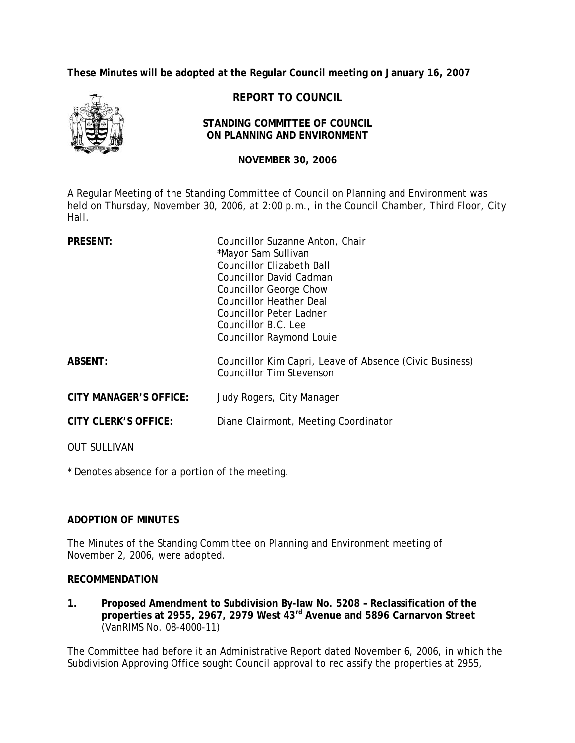**These Minutes will be adopted at the Regular Council meeting on January 16, 2007** 



**REPORT TO COUNCIL** 

#### **STANDING COMMITTEE OF COUNCIL ON PLANNING AND ENVIRONMENT**

**NOVEMBER 30, 2006**

A Regular Meeting of the Standing Committee of Council on Planning and Environment was held on Thursday, November 30, 2006, at 2:00 p.m., in the Council Chamber, Third Floor, City Hall.

| <b>PRESENT:</b>               | Councillor Suzanne Anton, Chair                                                            |
|-------------------------------|--------------------------------------------------------------------------------------------|
|                               | *Mayor Sam Sullivan                                                                        |
|                               | Councillor Elizabeth Ball                                                                  |
|                               | Councillor David Cadman                                                                    |
|                               | Councillor George Chow                                                                     |
|                               | Councillor Heather Deal                                                                    |
|                               | Councillor Peter Ladner                                                                    |
|                               | Councillor B.C. Lee                                                                        |
|                               | <b>Councillor Raymond Louie</b>                                                            |
| <b>ABSENT:</b>                | Councillor Kim Capri, Leave of Absence (Civic Business)<br><b>Councillor Tim Stevenson</b> |
| <b>CITY MANAGER'S OFFICE:</b> | Judy Rogers, City Manager                                                                  |
| <b>CITY CLERK'S OFFICE:</b>   | Diane Clairmont, Meeting Coordinator                                                       |
| <b>OUT SULLIVAN</b>           |                                                                                            |

\* Denotes absence for a portion of the meeting.

# **ADOPTION OF MINUTES**

The Minutes of the Standing Committee on Planning and Environment meeting of November 2, 2006, were adopted.

# **RECOMMENDATION**

**1. Proposed Amendment to Subdivision By-law No. 5208 – Reclassification of the properties at 2955, 2967, 2979 West 43rd Avenue and 5896 Carnarvon Street** (VanRIMS No. 08-4000-11)

The Committee had before it an Administrative Report dated November 6, 2006, in which the Subdivision Approving Office sought Council approval to reclassify the properties at 2955,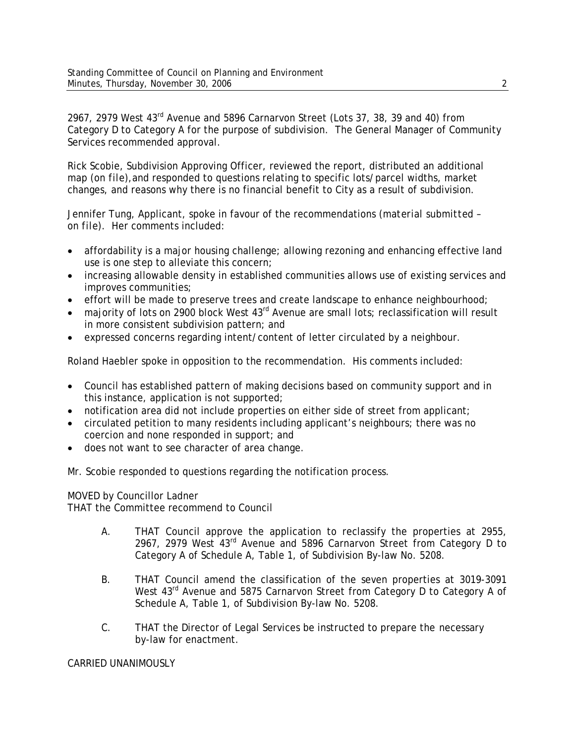2967, 2979 West 43rd Avenue and 5896 Carnarvon Street (Lots 37, 38, 39 and 40) from Category D to Category A for the purpose of subdivision. The General Manager of Community Services recommended approval.

Rick Scobie, Subdivision Approving Officer, reviewed the report, distributed an additional map (*on file)*,and responded to questions relating to specific lots/parcel widths, market changes, and reasons why there is no financial benefit to City as a result of subdivision.

Jennifer Tung, Applicant, spoke in favour of the recommendations (*material submitted – on file)*. Her comments included:

- affordability is a major housing challenge; allowing rezoning and enhancing effective land use is one step to alleviate this concern;
- increasing allowable density in established communities allows use of existing services and improves communities;
- effort will be made to preserve trees and create landscape to enhance neighbourhood;
- majority of lots on 2900 block West  $43<sup>rd</sup>$  Avenue are small lots; reclassification will result in more consistent subdivision pattern; and
- expressed concerns regarding intent/content of letter circulated by a neighbour.

Roland Haebler spoke in opposition to the recommendation. His comments included:

- Council has established pattern of making decisions based on community support and in this instance, application is not supported;
- notification area did not include properties on either side of street from applicant;
- circulated petition to many residents including applicant's neighbours; there was no coercion and none responded in support; and
- does not want to see character of area change.

Mr. Scobie responded to questions regarding the notification process.

MOVED by Councillor Ladner THAT the Committee recommend to Council

- A. THAT Council approve the application to reclassify the properties at 2955, 2967, 2979 West 43rd Avenue and 5896 Carnarvon Street from Category D to Category A of Schedule A, Table 1, of Subdivision By-law No. 5208.
- B. THAT Council amend the classification of the seven properties at 3019-3091 West 43<sup>rd</sup> Avenue and 5875 Carnarvon Street from Category D to Category A of Schedule A, Table 1, of Subdivision By-law No. 5208.
- C. THAT the Director of Legal Services be instructed to prepare the necessary by-law for enactment.

CARRIED UNANIMOUSLY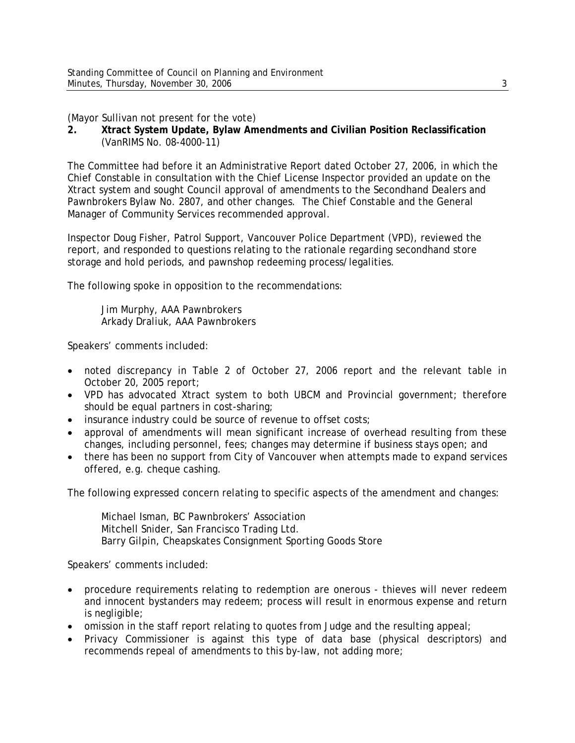(Mayor Sullivan not present for the vote)

**2. Xtract System Update, Bylaw Amendments and Civilian Position Reclassification**  (VanRIMS No. 08-4000-11)

The Committee had before it an Administrative Report dated October 27, 2006, in which the Chief Constable in consultation with the Chief License Inspector provided an update on the Xtract system and sought Council approval of amendments to the Secondhand Dealers and Pawnbrokers Bylaw No. 2807, and other changes. The Chief Constable and the General Manager of Community Services recommended approval.

Inspector Doug Fisher, Patrol Support, Vancouver Police Department (VPD), reviewed the report, and responded to questions relating to the rationale regarding secondhand store storage and hold periods, and pawnshop redeeming process/legalities.

The following spoke in opposition to the recommendations:

 Jim Murphy, AAA Pawnbrokers Arkady Draliuk, AAA Pawnbrokers

Speakers' comments included:

- noted discrepancy in Table 2 of October 27, 2006 report and the relevant table in October 20, 2005 report;
- VPD has advocated Xtract system to both UBCM and Provincial government; therefore should be equal partners in cost-sharing;
- insurance industry could be source of revenue to offset costs;
- approval of amendments will mean significant increase of overhead resulting from these changes, including personnel, fees; changes may determine if business stays open; and
- there has been no support from City of Vancouver when attempts made to expand services offered, e.g. cheque cashing.

The following expressed concern relating to specific aspects of the amendment and changes:

 Michael Isman, BC Pawnbrokers' Association Mitchell Snider, San Francisco Trading Ltd. Barry Gilpin, Cheapskates Consignment Sporting Goods Store

Speakers' comments included:

- procedure requirements relating to redemption are onerous thieves will never redeem and innocent bystanders may redeem; process will result in enormous expense and return is negligible;
- omission in the staff report relating to quotes from Judge and the resulting appeal;
- Privacy Commissioner is against this type of data base (physical descriptors) and recommends repeal of amendments to this by-law, not adding more;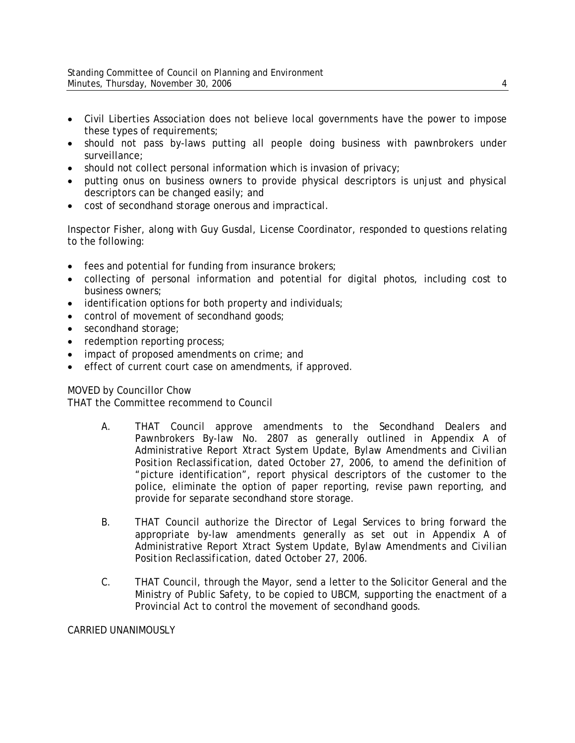- Civil Liberties Association does not believe local governments have the power to impose these types of requirements;
- should not pass by-laws putting all people doing business with pawnbrokers under surveillance;
- should not collect personal information which is invasion of privacy;
- putting onus on business owners to provide physical descriptors is unjust and physical descriptors can be changed easily; and
- cost of secondhand storage onerous and impractical.

Inspector Fisher, along with Guy Gusdal, License Coordinator, responded to questions relating to the following:

- fees and potential for funding from insurance brokers;
- collecting of personal information and potential for digital photos, including cost to business owners;
- identification options for both property and individuals;
- control of movement of secondhand goods;
- secondhand storage;
- redemption reporting process;
- impact of proposed amendments on crime; and
- effect of current court case on amendments, if approved.

# MOVED by Councillor Chow

THAT the Committee recommend to Council

- A. THAT Council approve amendments to the Secondhand Dealers and Pawnbrokers By-law No. 2807 as generally outlined in Appendix A of Administrative Report *Xtract System Update, Bylaw Amendments and Civilian Position Reclassification,* dated October 27, 2006, to amend the definition of "picture identification", report physical descriptors of the customer to the police, eliminate the option of paper reporting, revise pawn reporting, and provide for separate secondhand store storage.
- B. THAT Council authorize the Director of Legal Services to bring forward the appropriate by-law amendments generally as set out in Appendix A of Administrative Report *Xtract System Update, Bylaw Amendments and Civilian Position Reclassification,* dated October 27, 2006.
- C. THAT Council, through the Mayor, send a letter to the Solicitor General and the Ministry of Public Safety, to be copied to UBCM, supporting the enactment of a Provincial Act to control the movement of secondhand goods.

CARRIED UNANIMOUSLY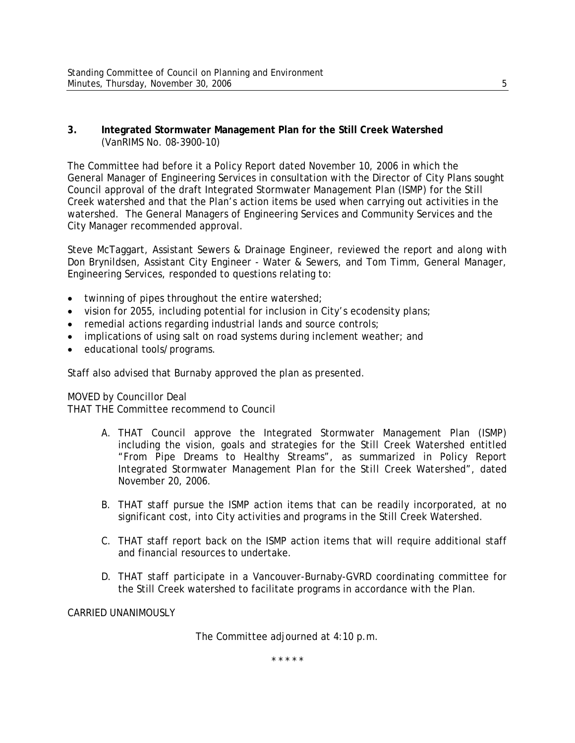### **3. Integrated Stormwater Management Plan for the Still Creek Watershed**  (VanRIMS No. 08-3900-10)

The Committee had before it a Policy Report dated November 10, 2006 in which the General Manager of Engineering Services in consultation with the Director of City Plans sought Council approval of the draft Integrated Stormwater Management Plan (ISMP) for the Still Creek watershed and that the Plan's action items be used when carrying out activities in the watershed. The General Managers of Engineering Services and Community Services and the City Manager recommended approval.

Steve McTaggart, Assistant Sewers & Drainage Engineer, reviewed the report and along with Don Brynildsen, Assistant City Engineer - Water & Sewers, and Tom Timm, General Manager, Engineering Services, responded to questions relating to:

- twinning of pipes throughout the entire watershed;
- vision for 2055, including potential for inclusion in City's ecodensity plans;
- remedial actions regarding industrial lands and source controls;
- implications of using salt on road systems during inclement weather; and
- educational tools/programs.

Staff also advised that Burnaby approved the plan as presented.

### MOVED by Councillor Deal

THAT THE Committee recommend to Council

- A. THAT Council approve the Integrated Stormwater Management Plan (ISMP) including the vision, goals and strategies for the Still Creek Watershed entitled "From Pipe Dreams to Healthy Streams", as summarized in Policy Report *Integrated Stormwater Management Plan for the Still Creek Watershed",* dated November 20, 2006.
- B. THAT staff pursue the ISMP action items that can be readily incorporated, at no significant cost, into City activities and programs in the Still Creek Watershed.
- C. THAT staff report back on the ISMP action items that will require additional staff and financial resources to undertake.
- D. THAT staff participate in a Vancouver-Burnaby-GVRD coordinating committee for the Still Creek watershed to facilitate programs in accordance with the Plan.

CARRIED UNANIMOUSLY

The Committee adjourned at 4:10 p.m.

\* \* \* \* \*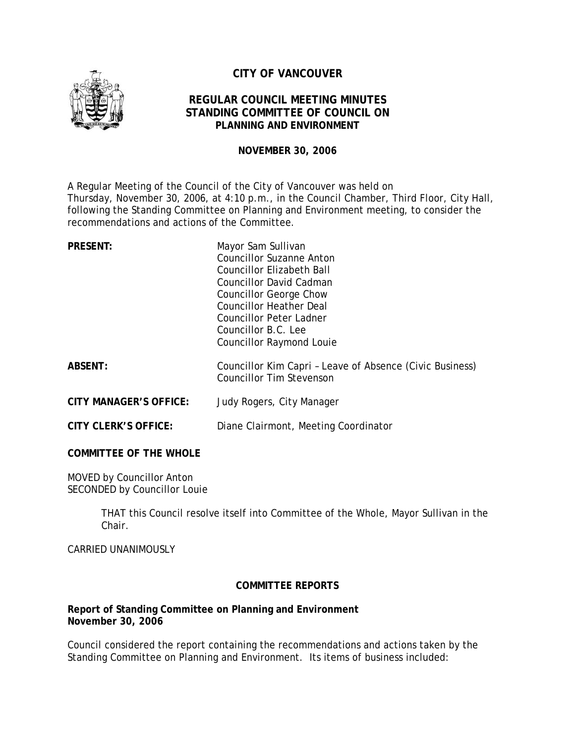

# **CITY OF VANCOUVER**

# **REGULAR COUNCIL MEETING MINUTES STANDING COMMITTEE OF COUNCIL ON PLANNING AND ENVIRONMENT**

### **NOVEMBER 30, 2006**

A Regular Meeting of the Council of the City of Vancouver was held on Thursday, November 30, 2006, at 4:10 p.m., in the Council Chamber, Third Floor, City Hall, following the Standing Committee on Planning and Environment meeting, to consider the recommendations and actions of the Committee.

| <b>PRESENT:</b>               | Mayor Sam Sullivan<br><b>Councillor Suzanne Anton</b><br>Councillor Elizabeth Ball<br>Councillor David Cadman<br>Councillor George Chow<br><b>Councillor Heather Deal</b><br>Councillor Peter Ladner<br>Councillor B.C. Lee<br><b>Councillor Raymond Louie</b> |
|-------------------------------|----------------------------------------------------------------------------------------------------------------------------------------------------------------------------------------------------------------------------------------------------------------|
| <b>ABSENT:</b>                | Councillor Kim Capri - Leave of Absence (Civic Business)<br><b>Councillor Tim Stevenson</b>                                                                                                                                                                    |
| <b>CITY MANAGER'S OFFICE:</b> | Judy Rogers, City Manager                                                                                                                                                                                                                                      |
| <b>CITY CLERK'S OFFICE:</b>   | Diane Clairmont, Meeting Coordinator                                                                                                                                                                                                                           |
| <b>COMMITTEE OF THE WHOLE</b> |                                                                                                                                                                                                                                                                |

MOVED by Councillor Anton SECONDED by Councillor Louie

> THAT this Council resolve itself into Committee of the Whole, Mayor Sullivan in the Chair.

CARRIED UNANIMOUSLY

# **COMMITTEE REPORTS**

### **Report of Standing Committee on Planning and Environment November 30, 2006**

Council considered the report containing the recommendations and actions taken by the Standing Committee on Planning and Environment. Its items of business included: